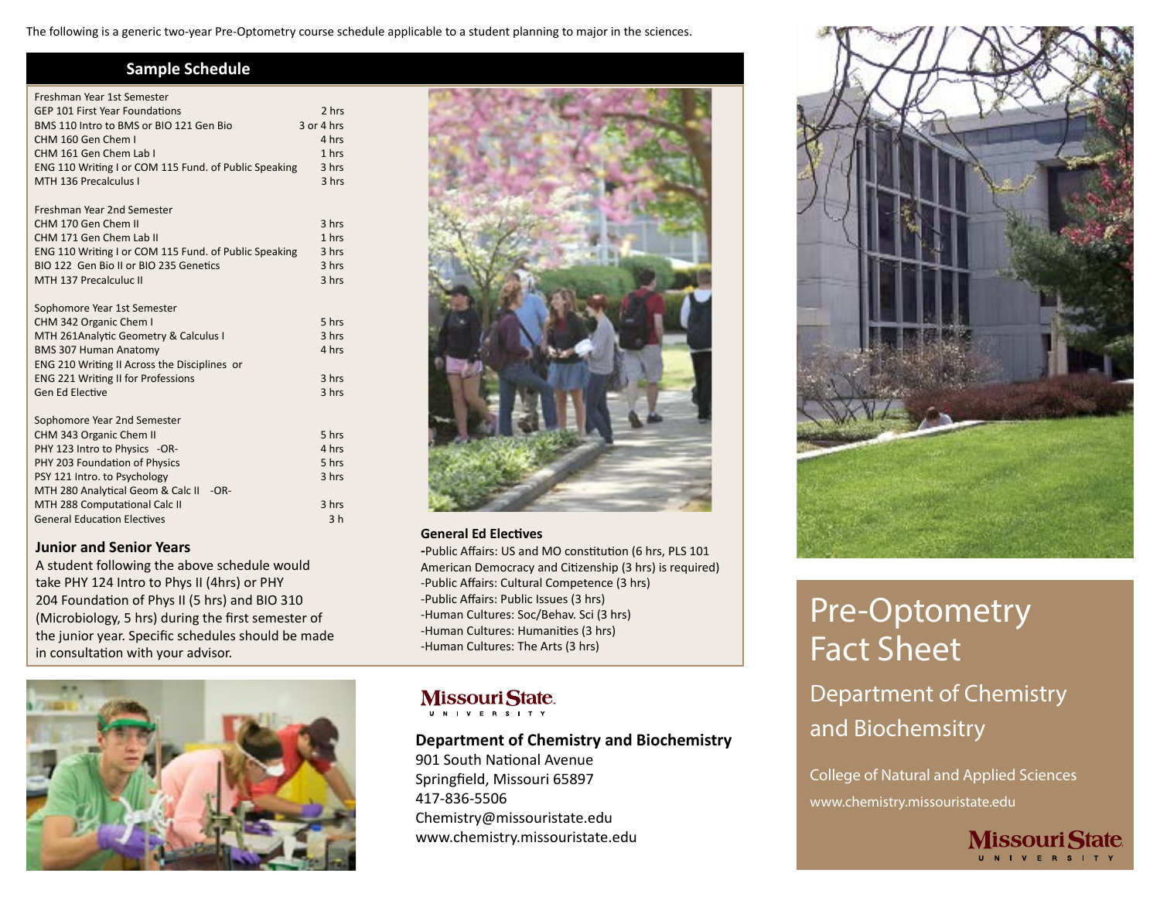The following is a generic two-year Pre-Optometry course schedule applicable to a student planning to major in the sciences.

### **Sample Schedule**

| Freshman Year 1st Semester                            |                |
|-------------------------------------------------------|----------------|
| <b>GEP 101 First Year Foundations</b>                 | 2 hrs          |
| BMS 110 Intro to BMS or BIO 121 Gen Bio               | $3$ or $4$ hrs |
| CHM 160 Gen Chem I                                    | 4 hrs          |
| CHM 161 Gen Chem Lab I                                | 1 hrs          |
| ENG 110 Writing I or COM 115 Fund. of Public Speaking | 3 hrs          |
| MTH 136 Precalculus I                                 | 3 hrs          |
| Freshman Year 2nd Semester                            |                |
| CHM 170 Gen Chem II                                   | 3 hrs          |
| CHM 171 Gen Chem Lab II                               | 1 hrs          |
| ENG 110 Writing I or COM 115 Fund. of Public Speaking | 3 hrs          |
| BIO 122 Gen Bio II or BIO 235 Genetics                | 3 hrs          |
| MTH 137 Precalculuc II                                | 3 hrs          |
|                                                       |                |
| Sophomore Year 1st Semester                           |                |
| CHM 342 Organic Chem I                                | 5 hrs          |
| MTH 261Analytic Geometry & Calculus I                 | 3 hrs          |
| <b>BMS 307 Human Anatomy</b>                          | 4 hrs          |
| ENG 210 Writing II Across the Disciplines or          |                |
| <b>ENG 221 Writing II for Professions</b>             | 3 hrs          |
| Gen Ed Elective                                       | 3 hrs          |
| Sophomore Year 2nd Semester                           |                |
| CHM 343 Organic Chem II                               | 5 hrs          |
| PHY 123 Intro to Physics -OR-                         | 4 hrs          |
| PHY 203 Foundation of Physics                         | 5 hrs          |
| PSY 121 Intro. to Psychology                          | 3 hrs          |
| MTH 280 Analytical Geom & Calc II<br>$-OR-$           |                |
| MTH 288 Computational Calc II                         | 3 hrs          |
| <b>General Education Electives</b>                    | 3 <sub>h</sub> |
|                                                       |                |

#### **Junior and Senior Years**

A student following the above schedule would take PHY 124 Intro to Phys II (4hrs) or PHY 204 Foundation of Phys II (5 hrs) and BIO 310 (Microbiology, 5 hrs) during the first semester of the junior year. Specific schedules should be made in consultation with your advisor.





#### **General Ed Electives**

**-**Public Affairs: US and MO constitution (6 hrs, PLS 101 American Democracy and Citizenship (3 hrs) is required) -Public Affairs: Cultural Competence (3 hrs) -Public Affairs: Public Issues (3 hrs) -Human Cultures: Soc/Behav. Sci (3 hrs) -Human Cultures: Humanities (3 hrs) -Human Cultures: The Arts (3 hrs)

## **MissouriState.**

U N I V E R S I T Y

### **Department of Chemistry and Biochemistry**

901 South National Avenue Springfield, Missouri 65897 417-836-5506 Chemistry@missouristate.edu www.chemistry.missouristate.edu



# Pre-Optometry Fact Sheet

Department of Chemistry and Biochemsitry

College of Natural and Applied Sciences www.chemistry.missouristate.edu